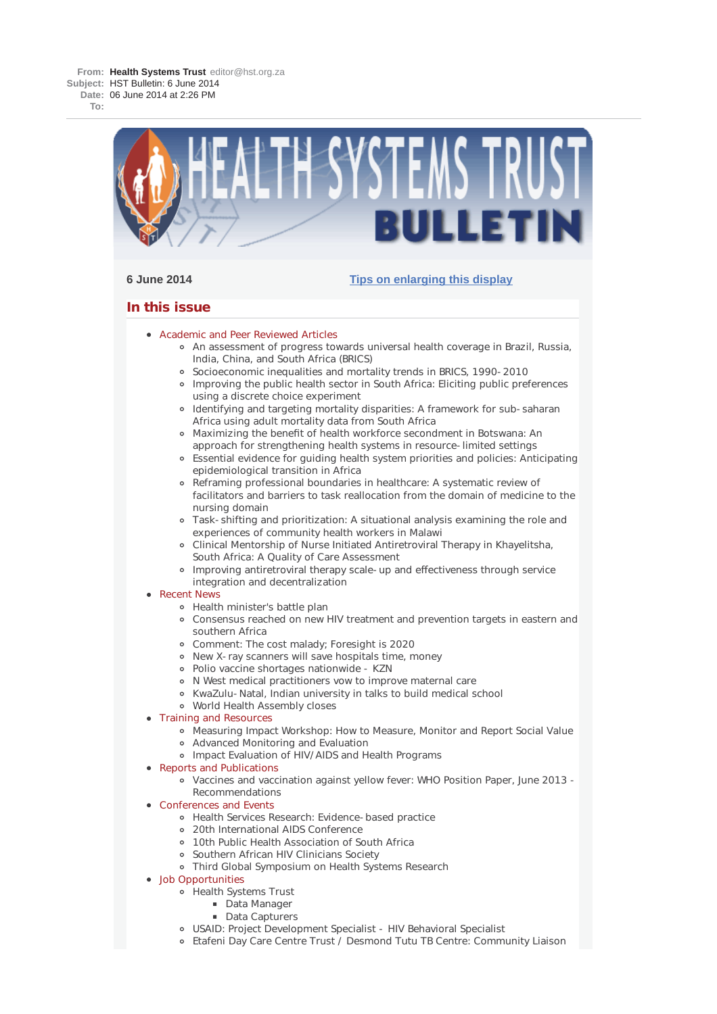**To:**



# **6 June 2014 Tips on enlarging this display**

# **In this issue**

- Academic and Peer Reviewed Articles
	- An assessment of progress towards universal health coverage in Brazil, Russia, India, China, and South Africa (BRICS)
	- Socioeconomic inequalities and mortality trends in BRICS, 1990-2010
	- Improving the public health sector in South Africa: Eliciting public preferences using a discrete choice experiment
	- Identifying and targeting mortality disparities: A framework for sub-saharan Africa using adult mortality data from South Africa
	- Maximizing the benefit of health workforce secondment in Botswana: An approach for strengthening health systems in resource-limited settings
	- Essential evidence for guiding health system priorities and policies: Anticipating epidemiological transition in Africa
	- Reframing professional boundaries in healthcare: A systematic review of facilitators and barriers to task reallocation from the domain of medicine to the nursing domain
	- Task-shifting and prioritization: A situational analysis examining the role and experiences of community health workers in Malawi
	- Clinical Mentorship of Nurse Initiated Antiretroviral Therapy in Khayelitsha, South Africa: A Quality of Care Assessment
	- Improving antiretroviral therapy scale-up and effectiveness through service integration and decentralization
- Recent News
	- Health minister's battle plan
	- Consensus reached on new HIV treatment and prevention targets in eastern and southern Africa
	- Comment: The cost malady; Foresight is 2020
	- New X-ray scanners will save hospitals time, money
	- Polio vaccine shortages nationwide KZN
	- N West medical practitioners vow to improve maternal care
	- KwaZulu-Natal, Indian university in talks to build medical school
	- World Health Assembly closes
- Training and Resources
	- Measuring Impact Workshop: How to Measure, Monitor and Report Social Value
	- Advanced Monitoring and Evaluation
	- Impact Evaluation of HIV/AIDS and Health Programs
- Reports and Publications
	- Vaccines and vaccination against yellow fever: WHO Position Paper, June 2013 Recommendations
- Conferences and Events
	- Health Services Research: Evidence-based practice
	- 20th International AIDS Conference
	- 10th Public Health Association of South Africa
	- Southern African HIV Clinicians Society
	- Third Global Symposium on Health Systems Research
- Job Opportunities
	- Health Systems Trust
		- Data Manager
			- Data Capturers
	- USAID: Project Development Specialist HIV Behavioral Specialist
	- Etafeni Day Care Centre Trust / Desmond Tutu TB Centre: Community Liaison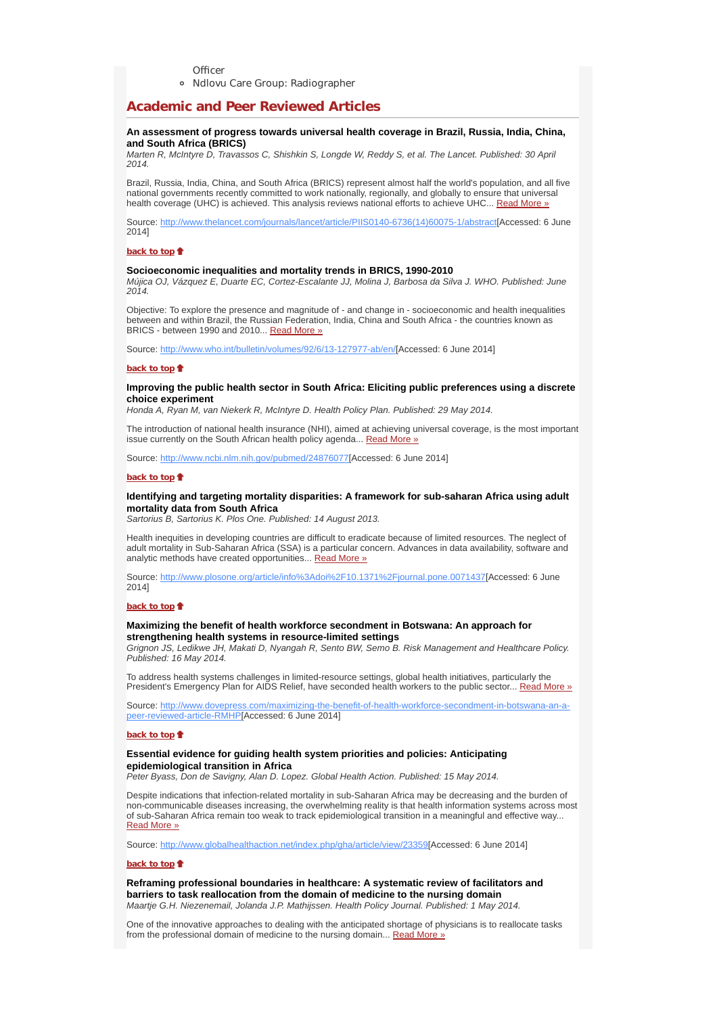**Officer** 

Ndlovu Care Group: Radiographer

# **Academic and Peer Reviewed Articles**

# **An assessment of progress towards universal health coverage in Brazil, Russia, India, China, and South Africa (BRICS)**

*Marten R, McIntyre D, Travassos C, Shishkin S, Longde W, Reddy S, et al. The Lancet. Published: 30 April 2014.*

Brazil, Russia, India, China, and South Africa (BRICS) represent almost half the world's population, and all five national governments recently committed to work nationally, regionally, and globally to ensure that universal health coverage (UHC) is achieved. This analysis reviews national efforts to achieve UHC... Read More »

Source: http://www.thelancet.com/journals/lancet/article/PIIS0140-6736(14)60075-1/abstract[Accessed: 6 June 2014]

#### **back to top**

# **Socioeconomic inequalities and mortality trends in BRICS, 1990-2010**

*Mújica OJ, Vázquez E, Duarte EC, Cortez-Escalante JJ, Molina J, Barbosa da Silva J. WHO. Published: June 2014.*

Objective: To explore the presence and magnitude of - and change in - socioeconomic and health inequalities between and within Brazil, the Russian Federation, India, China and South Africa - the countries known as BRICS - between 1990 and 2010... Read More »

Source: http://www.who.int/bulletin/volumes/92/6/13-127977-ab/en/[Accessed: 6 June 2014]

#### **back to top**

## **Improving the public health sector in South Africa: Eliciting public preferences using a discrete choice experiment**

*Honda A, Ryan M, van Niekerk R, McIntyre D. Health Policy Plan. Published: 29 May 2014.*

The introduction of national health insurance (NHI), aimed at achieving universal coverage, is the most important issue currently on the South African health policy agenda... Read More »

Source: http://www.ncbi.nlm.nih.gov/pubmed/24876077[Accessed: 6 June 2014]

### **back to top**

## **Identifying and targeting mortality disparities: A framework for sub-saharan Africa using adult mortality data from South Africa**

*Sartorius B, Sartorius K. Plos One. Published: 14 August 2013.*

Health inequities in developing countries are difficult to eradicate because of limited resources. The neglect of adult mortality in Sub-Saharan Africa (SSA) is a particular concern. Advances in data availability, software and analytic methods have created opportunities... Read More »

Source: http://www.plosone.org/article/info%3Adoi%2F10.1371%2Fjournal.pone.0071437[Accessed: 6 June 2014]

# **back to top**

# **Maximizing the benefit of health workforce secondment in Botswana: An approach for strengthening health systems in resource-limited settings**

*Grignon JS, Ledikwe JH, Makati D, Nyangah R, Sento BW, Semo B. Risk Management and Healthcare Policy. Published: 16 May 2014.*

To address health systems challenges in limited-resource settings, global health initiatives, particularly the President's Emergency Plan for AIDS Relief, have seconded health workers to the public sector... Read More »

Source: http://www.dovepress.com/maximizing-the-benefit-of-health-workforce-secondment-in-botswana-an-apeer-reviewed-article-RMHP[Accessed: 6 June 2014]

### **back to top**

# **Essential evidence for guiding health system priorities and policies: Anticipating epidemiological transition in Africa**

*Peter Byass, Don de Savigny, Alan D. Lopez. Global Health Action. Published: 15 May 2014.*

Despite indications that infection-related mortality in sub-Saharan Africa may be decreasing and the burden of non-communicable diseases increasing, the overwhelming reality is that health information systems across most of sub-Saharan Africa remain too weak to track epidemiological transition in a meaningful and effective way... Read More »

Source: http://www.globalhealthaction.net/index.php/gha/article/view/23359[Accessed: 6 June 2014]

#### **back to top**

**Reframing professional boundaries in healthcare: A systematic review of facilitators and barriers to task reallocation from the domain of medicine to the nursing domain** *Maartje G.H. Niezenemail, Jolanda J.P. Mathijssen. Health Policy Journal. Published: 1 May 2014.*

One of the innovative approaches to dealing with the anticipated shortage of physicians is to reallocate tasks from the professional domain of medicine to the nursing domain... Read More »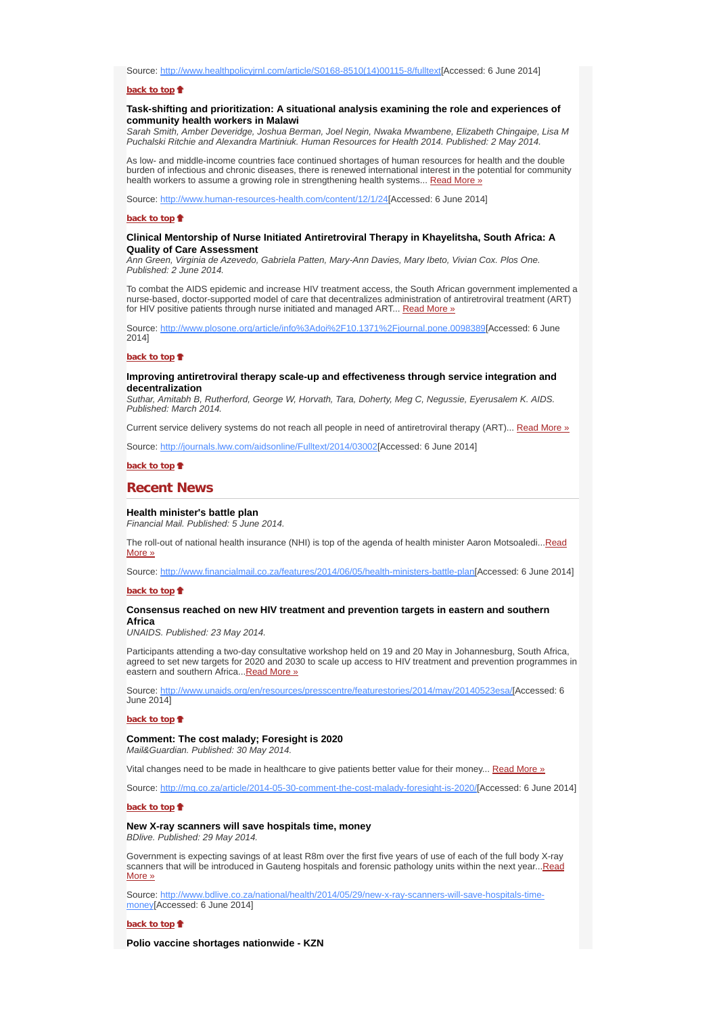Source: http://www.healthpolicyjrnl.com/article/S0168-8510(14)00115-8/fulltext[Accessed: 6 June 2014]

#### **back to top**

# **Task-shifting and prioritization: A situational analysis examining the role and experiences of community health workers in Malawi**

*Sarah Smith, Amber Deveridge, Joshua Berman, Joel Negin, Nwaka Mwambene, Elizabeth Chingaipe, Lisa M Puchalski Ritchie and Alexandra Martiniuk. Human Resources for Health 2014. Published: 2 May 2014.*

As low- and middle-income countries face continued shortages of human resources for health and the double burden of infectious and chronic diseases, there is renewed international interest in the potential for community health workers to assume a growing role in strengthening health systems... Read More »

Source: http://www.human-resources-health.com/content/12/1/24[Accessed: 6 June 2014]

#### **back to top**

## **Clinical Mentorship of Nurse Initiated Antiretroviral Therapy in Khayelitsha, South Africa: A Quality of Care Assessment**

*Ann Green, Virginia de Azevedo, Gabriela Patten, Mary-Ann Davies, Mary Ibeto, Vivian Cox. Plos One. Published: 2 June 2014.*

To combat the AIDS epidemic and increase HIV treatment access, the South African government implemented a nurse-based, doctor-supported model of care that decentralizes administration of antiretroviral treatment (ART) for HIV positive patients through nurse initiated and managed ART... Read More »

Source: http://www.plosone.org/article/info%3Adoi%2F10.1371%2Fjournal.pone.0098389[Accessed: 6 June 2014]

#### **back to top**

### **Improving antiretroviral therapy scale-up and effectiveness through service integration and decentralization**

*Suthar, Amitabh B, Rutherford, George W, Horvath, Tara, Doherty, Meg C, Negussie, Eyerusalem K. AIDS. Published: March 2014.*

Current service delivery systems do not reach all people in need of antiretroviral therapy (ART)... Read More »

Source: http://journals.lww.com/aidsonline/Fulltext/2014/03002[Accessed: 6 June 2014]

### **back to top**

# **Recent News**

#### **Health minister's battle plan**

*Financial Mail. Published: 5 June 2014.*

The roll-out of national health insurance (NHI) is top of the agenda of health minister Aaron Motsoaledi...Read More »

Source: http://www.financialmail.co.za/features/2014/06/05/health-ministers-battle-plan[Accessed: 6 June 2014]

#### **back to top**

#### **Consensus reached on new HIV treatment and prevention targets in eastern and southern Africa**

*UNAIDS. Published: 23 May 2014.*

Participants attending a two-day consultative workshop held on 19 and 20 May in Johannesburg, South Africa, agreed to set new targets for 2020 and 2030 to scale up access to HIV treatment and prevention programmes in eastern and southern Africa... Read More »

Source: http://www.unaids.org/en/resources/presscentre/featurestories/2014/may/20140523esa/[Accessed: 6 June 2014]

#### **back to top**

# **Comment: The cost malady; Foresight is 2020**

*Mail&Guardian. Published: 30 May 2014.*

Vital changes need to be made in healthcare to give patients better value for their money... Read More »

Source: http://mg.co.za/article/2014-05-30-comment-the-cost-malady-foresight-is-2020/[Accessed: 6 June 2014]

**back to top**

# **New X-ray scanners will save hospitals time, money**

*BDlive. Published: 29 May 2014.*

Government is expecting savings of at least R8m over the first five years of use of each of the full body X-ray scanners that will be introduced in Gauteng hospitals and forensic pathology units within the next year...Read More »

Source: http://www.bdlive.co.za/national/health/2014/05/29/new-x-ray-scanners-will-save-hospitals-timemoney[Accessed: 6 June 2014]

#### **back to top**

**Polio vaccine shortages nationwide - KZN**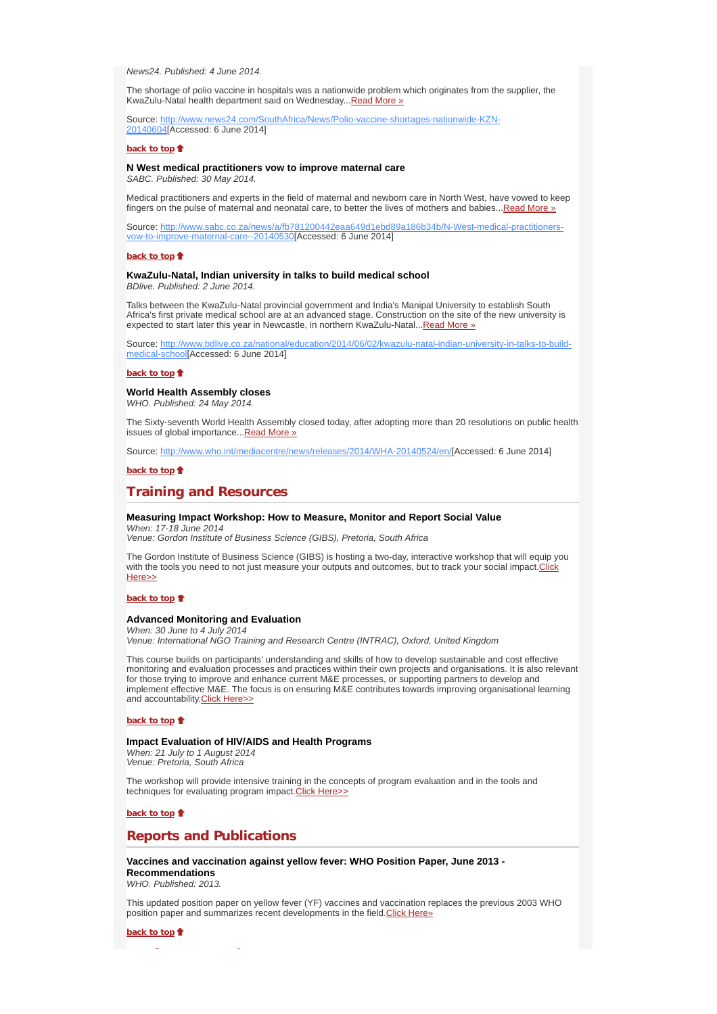*News24. Published: 4 June 2014.*

The shortage of polio vaccine in hospitals was a nationwide problem which originates from the supplier, the KwaZulu-Natal health department said on Wednesday... Read More »

Source: http://www.news24.com/SouthAfrica/News/Polio-vaccine-shortages-nationwide-KZN-20140604[Accessed: 6 June 2014]

#### **back to top**

# **N West medical practitioners vow to improve maternal care**

*SABC. Published: 30 May 2014.*

Medical practitioners and experts in the field of maternal and newborn care in North West, have vowed to keep fingers on the pulse of maternal and neonatal care, to better the lives of mothers and babies...Read More »

Source: http://www.sabc.co.za/news/a/fb781200442eaa649d1ebd89a186b34b/N-West-medical-practitionersvow-to-improve-maternal-care--20140530[Accessed: 6 June 2014]

### **back to top**

## **KwaZulu-Natal, Indian university in talks to build medical school**

*BDlive. Published: 2 June 2014.*

Talks between the KwaZulu-Natal provincial government and India's Manipal University to establish South Africa's first private medical school are at an advanced stage. Construction on the site of the new university is expected to start later this year in Newcastle, in northern KwaZulu-Natal...Read More »

Source: http://www.bdlive.co.za/national/education/2014/06/02/kwazulu-natal-indian-university-in-talks-to-buildmedical-school[Accessed: 6 June 2014]

#### **back to top**

## **World Health Assembly closes**

*WHO. Published: 24 May 2014.*

The Sixty-seventh World Health Assembly closed today, after adopting more than 20 resolutions on public health issues of global importance...Read More »

Source: http://www.who.int/mediacentre/news/releases/2014/WHA-20140524/en/[Accessed: 6 June 2014]

## **back to top**

# **Training and Resources**

#### **Measuring Impact Workshop: How to Measure, Monitor and Report Social Value** *When: 17-18 June 2014*

*Venue: Gordon Institute of Business Science (GIBS), Pretoria, South Africa*

The Gordon Institute of Business Science (GIBS) is hosting a two-day, interactive workshop that will equip you with the tools you need to not just measure your outputs and outcomes, but to track your social impact.Click Here>>

## **back to top**

### **Advanced Monitoring and Evaluation**

*When: 30 June to 4 July 2014*

*Venue: International NGO Training and Research Centre (INTRAC), Oxford, United Kingdom*

This course builds on participants' understanding and skills of how to develop sustainable and cost effective monitoring and evaluation processes and practices within their own projects and organisations. It is also relevant for those trying to improve and enhance current M&E processes, or supporting partners to develop and implement effective M&E. The focus is on ensuring M&E contributes towards improving organisational learning and accountability. Click Here>>

### **back to top**

# **Impact Evaluation of HIV/AIDS and Health Programs**

*When: 21 July to 1 August 2014 Venue: Pretoria, South Africa*

The workshop will provide intensive training in the concepts of program evaluation and in the tools and techniques for evaluating program impact.Click Here>>

**back to top**

# **Reports and Publications**

# **Vaccines and vaccination against yellow fever: WHO Position Paper, June 2013 - Recommendations**

*WHO. Published: 2013.*

This updated position paper on yellow fever (YF) vaccines and vaccination replaces the previous 2003 WHO position paper and summarizes recent developments in the field.Click Here»

**back to top**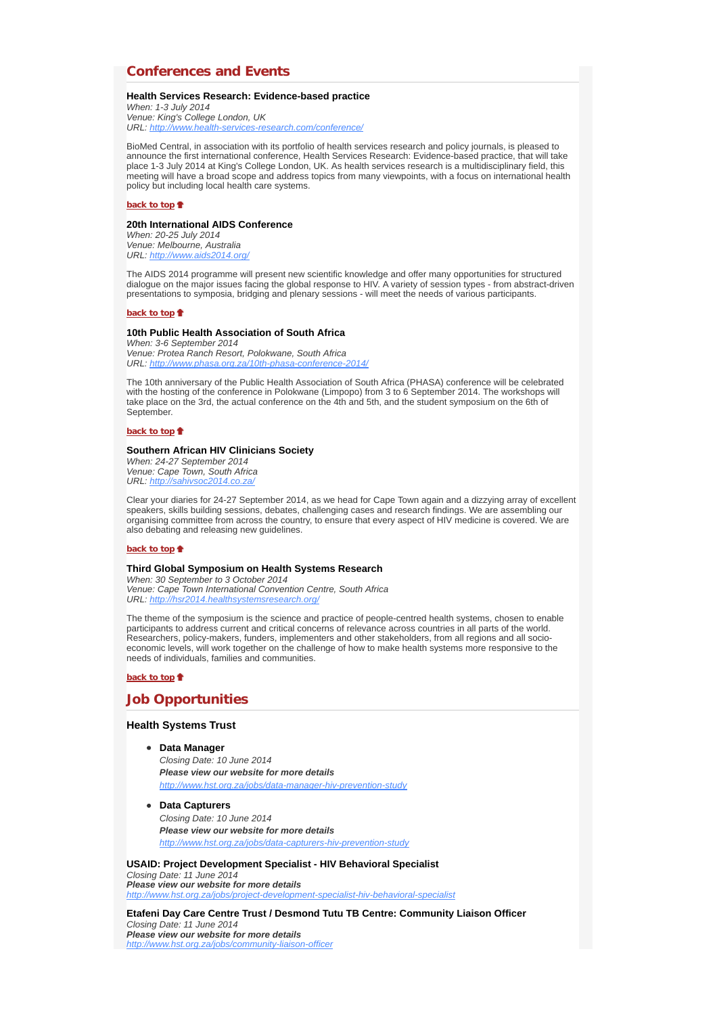# **Conferences and Events**

## **Health Services Research: Evidence-based practice**

*When: 1-3 July 2014 Venue: King's College London, UK URL: http://www.health-services-research.com/conference/*

BioMed Central, in association with its portfolio of health services research and policy journals, is pleased to announce the first international conference, Health Services Research: Evidence-based practice, that will take place 1-3 July 2014 at King's College London, UK. As health services research is a multidisciplinary field, this meeting will have a broad scope and address topics from many viewpoints, with a focus on international health policy but including local health care systems.

#### **back to top**

# **20th International AIDS Conference**

*When: 20-25 July 2014 Venue: Melbourne, Australia URL: http://www.aids2014.org/*

The AIDS 2014 programme will present new scientific knowledge and offer many opportunities for structured dialogue on the major issues facing the global response to HIV. A variety of session types - from abstract-driven presentations to symposia, bridging and plenary sessions - will meet the needs of various participants.

### **back to top**

### **10th Public Health Association of South Africa**

*When: 3-6 September 2014 Venue: Protea Ranch Resort, Polokwane, South Africa URL: http://www.phasa.org.za/10th-phasa-conference-2014/*

The 10th anniversary of the Public Health Association of South Africa (PHASA) conference will be celebrated with the hosting of the conference in Polokwane (Limpopo) from 3 to 6 September 2014. The workshops will take place on the 3rd, the actual conference on the 4th and 5th, and the student symposium on the 6th of September.

#### **back to top**

# **Southern African HIV Clinicians Society**

*When: 24-27 September 2014 Venue: Cape Town, South Africa URL: http://sahivsoc2014.co.za/*

Clear your diaries for 24-27 September 2014, as we head for Cape Town again and a dizzying array of excellent speakers, skills building sessions, debates, challenging cases and research findings. We are assembling our organising committee from across the country, to ensure that every aspect of HIV medicine is covered. We are also debating and releasing new guidelines.

# **back to top**

## **Third Global Symposium on Health Systems Research**

*When: 30 September to 3 October 2014 Venue: Cape Town International Convention Centre, South Africa URL: http://hsr2014.healthsystemsresearch.org/*

The theme of the symposium is the science and practice of people-centred health systems, chosen to enable participants to address current and critical concerns of relevance across countries in all parts of the world. Researchers, policy-makers, funders, implementers and other stakeholders, from all regions and all socioeconomic levels, will work together on the challenge of how to make health systems more responsive to the needs of individuals, families and communities.

# **back to top**

# **Job Opportunities**

# **Health Systems Trust**

**Data Manager**

*Closing Date: 10 June 2014 Please view our website for more details http://www.hst.org.za/jobs/data-manager-hiv-prevention-study*

**Data Capturers** *Closing Date: 10 June 2014 Please view our website for more details http://www.hst.org.za/jobs/data-capturers-hiv-prevention-study*

## **USAID: Project Development Specialist - HIV Behavioral Specialist**

*Closing Date: 11 June 2014 Please view our website for more details http://www.hst.org.za/jobs/project-development-specialist-hiv-behavioral-specialist*

**Etafeni Day Care Centre Trust / Desmond Tutu TB Centre: Community Liaison Officer** *Closing Date: 11 June 2014 Please view our website for more details http://www.hst.org.za/jobs/community-liaison-officer*